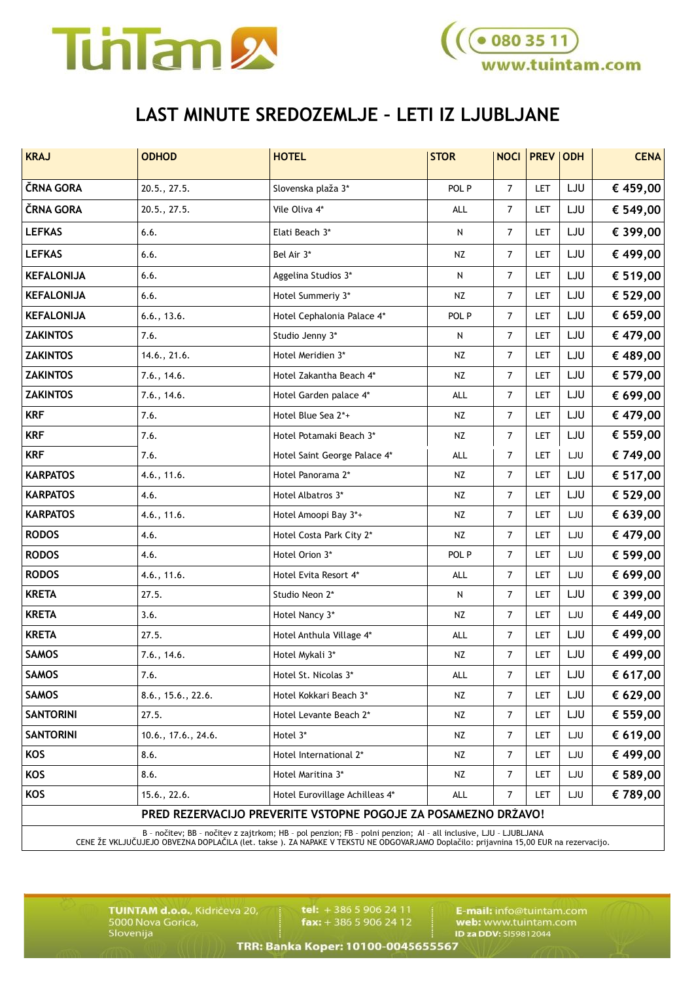



## **LAST MINUTE SREDOZEMLJE – LETI IZ LJUBLJANE**

| <b>KRAJ</b>                                                    | <b>ODHOD</b>        | <b>HOTEL</b>                   | <b>STOR</b> | <b>NOCI</b>    | <b>PREV</b> | <b>ODH</b> | <b>CENA</b> |  |  |
|----------------------------------------------------------------|---------------------|--------------------------------|-------------|----------------|-------------|------------|-------------|--|--|
| ČRNA GORA                                                      | 20.5., 27.5.        | Slovenska plaža 3*             | POL P       | $\overline{7}$ | LET         | LJU        | € 459,00    |  |  |
| ČRNA GORA                                                      | 20.5., 27.5.        | Vile Oliva 4*                  | ALL         | $\overline{7}$ | LET         | LJU        | € 549,00    |  |  |
| <b>LEFKAS</b>                                                  | 6.6.                | Elati Beach 3*                 | N           | $\overline{7}$ | LET         | LJU        | € 399,00    |  |  |
| <b>LEFKAS</b>                                                  | 6.6.                | Bel Air 3*                     | NZ          | $\overline{7}$ | LET         | LJU        | € 499,00    |  |  |
| <b>KEFALONIJA</b>                                              | 6.6.                | Aggelina Studios 3*            | N           | $\overline{7}$ | LET         | LJU        | € 519,00    |  |  |
| <b>KEFALONIJA</b>                                              | 6.6.                | Hotel Summeriy 3*              | NZ          | $\overline{7}$ | LET         | LJU        | € 529,00    |  |  |
| <b>KEFALONIJA</b>                                              | 6.6., 13.6.         | Hotel Cephalonia Palace 4*     | POL P       | $\overline{7}$ | LET         | LJU        | € 659,00    |  |  |
| <b>ZAKINTOS</b>                                                | 7.6.                | Studio Jenny 3*                | N           | 7              | LET         | LJU        | € 479,00    |  |  |
| <b>ZAKINTOS</b>                                                | 14.6., 21.6.        | Hotel Meridien 3*              | NZ          | 7              | LET         | LJU        | € 489,00    |  |  |
| <b>ZAKINTOS</b>                                                | 7.6., 14.6.         | Hotel Zakantha Beach 4*        | NZ          | $\overline{7}$ | LET         | LJU        | € 579,00    |  |  |
| <b>ZAKINTOS</b>                                                | 7.6., 14.6.         | Hotel Garden palace 4*         | ALL         | $\overline{7}$ | LET         | LJU        | € 699,00    |  |  |
| <b>KRF</b>                                                     | 7.6.                | Hotel Blue Sea 2*+             | NZ          | $\overline{7}$ | LET         | LJU        | € 479,00    |  |  |
| <b>KRF</b>                                                     | 7.6.                | Hotel Potamaki Beach 3*        | <b>NZ</b>   | $\overline{7}$ | LET         | LJU        | € 559,00    |  |  |
| <b>KRF</b>                                                     | 7.6.                | Hotel Saint George Palace 4*   | ALL         | 7              | LET         | LJU        | € 749,00    |  |  |
| <b>KARPATOS</b>                                                | 4.6., 11.6.         | Hotel Panorama 2*              | NZ          | $\overline{7}$ | <b>LET</b>  | LJU        | € 517,00    |  |  |
| <b>KARPATOS</b>                                                | 4.6.                | Hotel Albatros 3*              | NZ          | $\overline{7}$ | LET         | LJU        | € 529,00    |  |  |
| <b>KARPATOS</b>                                                | 4.6., 11.6.         | Hotel Amoopi Bay 3*+           | NZ          | $\overline{7}$ | LET         | LJU        | € 639,00    |  |  |
| <b>RODOS</b>                                                   | 4.6.                | Hotel Costa Park City 2*       | NZ          | $\overline{7}$ | LET         | LJU        | € 479,00    |  |  |
| <b>RODOS</b>                                                   | 4.6.                | Hotel Orion 3*                 | POL P       | $\overline{7}$ | LET         | LJU        | € 599,00    |  |  |
| <b>RODOS</b>                                                   | 4.6., 11.6.         | Hotel Evita Resort 4*          | ALL         | $\overline{7}$ | <b>LET</b>  | LJU        | € 699,00    |  |  |
| <b>KRETA</b>                                                   | 27.5.               | Studio Neon 2*                 | ${\sf N}$   | $\overline{7}$ | LET         | LJU        | € 399,00    |  |  |
| <b>KRETA</b>                                                   | 3.6.                | Hotel Nancy 3*                 | <b>NZ</b>   | $\overline{7}$ | LET         | LJU        | € 449,00    |  |  |
| <b>KRETA</b>                                                   | 27.5.               | Hotel Anthula Village 4*       | <b>ALL</b>  | $\overline{7}$ | LET         | LJU        | € 499,00    |  |  |
| <b>SAMOS</b>                                                   | 7.6., 14.6.         | Hotel Mykali 3*                | <b>NZ</b>   | $\overline{7}$ | LET         | LJU        | € 499,00    |  |  |
| <b>SAMOS</b>                                                   | 7.6.                | Hotel St. Nicolas 3*           | ALL         | 7              | LET         | LJU        | € 617,00    |  |  |
| <b>SAMOS</b>                                                   | 8.6., 15.6., 22.6.  | Hotel Kokkari Beach 3*         | <b>NZ</b>   | $\overline{7}$ | LET         | LJU        | € 629,00    |  |  |
| <b>SANTORINI</b>                                               | 27.5.               | Hotel Levante Beach 2*         | NZ          | $\overline{7}$ | <b>LET</b>  | LJU        | € 559,00    |  |  |
| <b>SANTORINI</b>                                               | 10.6., 17.6., 24.6. | Hotel 3*                       | NZ          | 7              | <b>LET</b>  | LJU        | € 619,00    |  |  |
| KOS                                                            | 8.6.                | Hotel International 2*         | NZ          | 7              | LET         | LJU        | € 499,00    |  |  |
| KOS                                                            | 8.6.                | Hotel Maritina 3*              | NZ          | 7              | <b>LET</b>  | LJU        | € 589,00    |  |  |
| KOS                                                            | 15.6., 22.6.        | Hotel Eurovillage Achilleas 4* | ALL         | 7              | <b>LET</b>  | LJU        | € 789,00    |  |  |
| PRED REZERVACIJO PREVERITE VSTOPNE POGOJE ZA POSAMEZNO DRŽAVO! |                     |                                |             |                |             |            |             |  |  |

B - nočitev; BB - nočitev z zajtrkom; HB - pol penzion; FB - polni penzion; AI - all inclusive, LJU - LJUBLJANA<br>CENE ŽE VKLJUČUJEJO OBVEZNA DOPLAČILA (let. takse ). ZA NAPAKE V TEKSTU NE ODGOVARJAMO Doplačilo: prijavnina 1

TUINTAM d.o.o., Kidričeva 20,<br>5000 Nova Gorica,<br>Slovenija

tel: +386 5 906 24 11  $\mathbf{fax:} + 38659062412$ 

E-mail: info@tuintam.com<br>web: www.tuintam.com<br>ID za DDV: 5159812044